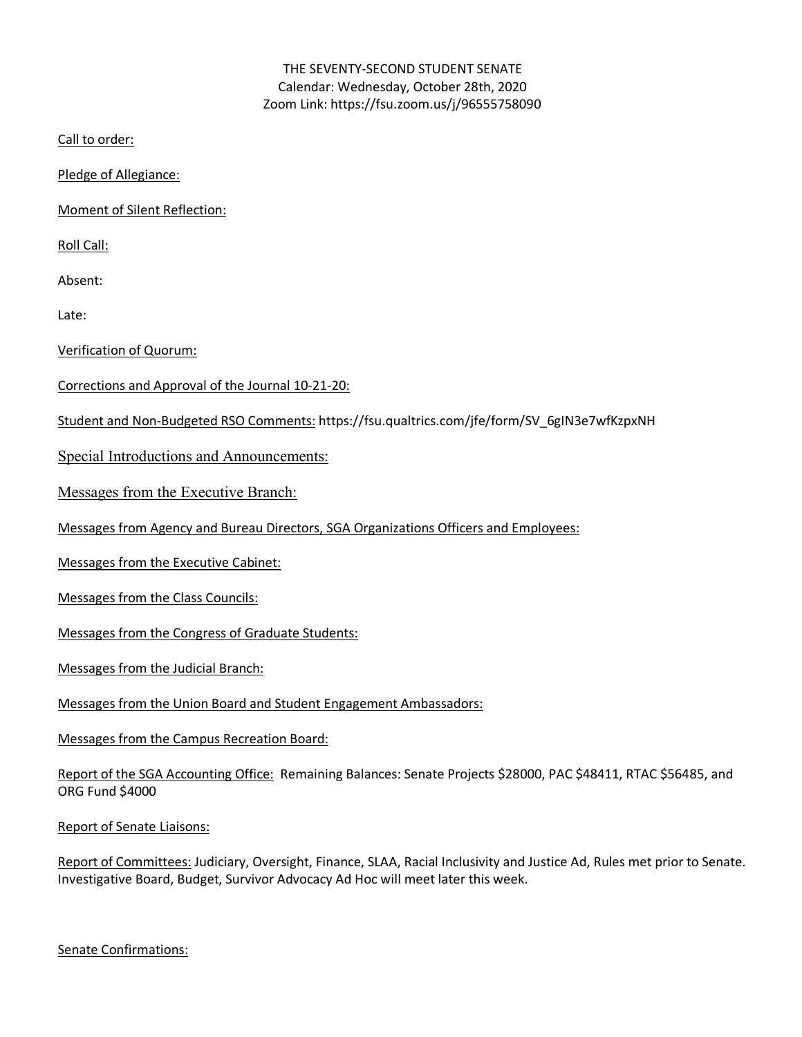### THE SEVENTY-SECOND STUDENT SENATE Calendar: Wednesday, October 28th, 2020 Zoom Link: https://fsu.zoom.us/j/96555758090

Call to order:

Pledge of Allegiance:

Moment of Silent Reflection:

Roll Call:

Absent:

Late:

Verification of Quorum:

- Corrections and Approval of the Journal 10-21-20:
- Student and Non-Budgeted RSO Comments: https://fsu.qualtrics.com/jfe/form/SV\_6gIN3e7wfKzpxNH

Special Introductions and Announcements:

Messages from the Executive Branch:

Messages from Agency and Bureau Directors, SGA Organizations Officers and Employees:

Messages from the Executive Cabinet:

Messages from the Class Councils:

Messages from the Congress of Graduate Students:

Messages from the Judicial Branch:

Messages from the Union Board and Student Engagement Ambassadors:

Messages from the Campus Recreation Board:

Report of the SGA Accounting Office: Remaining Balances: Senate Projects \$28000, PAC \$48411, RTAC \$56485, and ORG Fund \$4000

Report of Senate Liaisons:

Report of Committees: Judiciary, Oversight, Finance, SLAA, Racial Inclusivity and Justice Ad, Rules met prior to Senate. Investigative Board, Budget, Survivor Advocacy Ad Hoc will meet later this week.

Senate Confirmations: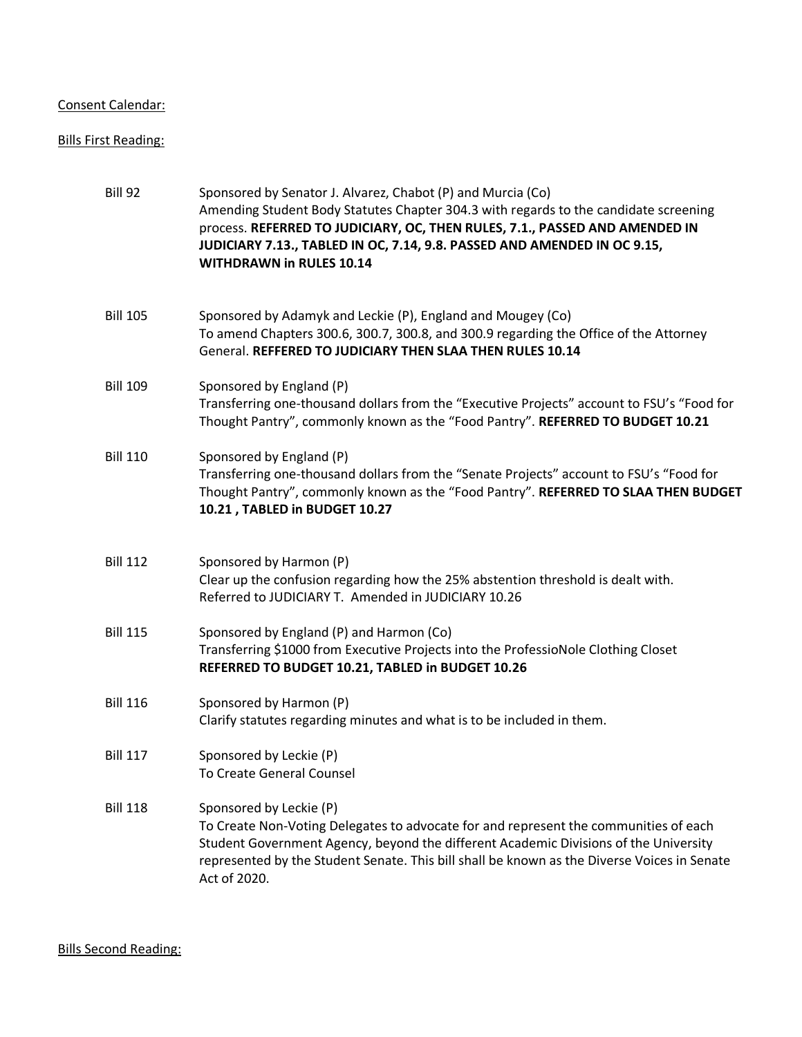### Consent Calendar:

# Bills First Reading:

| <b>Bill 92</b>  | Sponsored by Senator J. Alvarez, Chabot (P) and Murcia (Co)<br>Amending Student Body Statutes Chapter 304.3 with regards to the candidate screening<br>process. REFERRED TO JUDICIARY, OC, THEN RULES, 7.1., PASSED AND AMENDED IN<br>JUDICIARY 7.13., TABLED IN OC, 7.14, 9.8. PASSED AND AMENDED IN OC 9.15,<br><b>WITHDRAWN in RULES 10.14</b> |
|-----------------|---------------------------------------------------------------------------------------------------------------------------------------------------------------------------------------------------------------------------------------------------------------------------------------------------------------------------------------------------|
| <b>Bill 105</b> | Sponsored by Adamyk and Leckie (P), England and Mougey (Co)<br>To amend Chapters 300.6, 300.7, 300.8, and 300.9 regarding the Office of the Attorney<br>General. REFFERED TO JUDICIARY THEN SLAA THEN RULES 10.14                                                                                                                                 |
| <b>Bill 109</b> | Sponsored by England (P)<br>Transferring one-thousand dollars from the "Executive Projects" account to FSU's "Food for<br>Thought Pantry", commonly known as the "Food Pantry". REFERRED TO BUDGET 10.21                                                                                                                                          |
| <b>Bill 110</b> | Sponsored by England (P)<br>Transferring one-thousand dollars from the "Senate Projects" account to FSU's "Food for<br>Thought Pantry", commonly known as the "Food Pantry". REFERRED TO SLAA THEN BUDGET<br>10.21, TABLED in BUDGET 10.27                                                                                                        |
| <b>Bill 112</b> | Sponsored by Harmon (P)<br>Clear up the confusion regarding how the 25% abstention threshold is dealt with.<br>Referred to JUDICIARY T. Amended in JUDICIARY 10.26                                                                                                                                                                                |
| <b>Bill 115</b> | Sponsored by England (P) and Harmon (Co)<br>Transferring \$1000 from Executive Projects into the ProfessioNole Clothing Closet<br>REFERRED TO BUDGET 10.21, TABLED in BUDGET 10.26                                                                                                                                                                |
| <b>Bill 116</b> | Sponsored by Harmon (P)<br>Clarify statutes regarding minutes and what is to be included in them.                                                                                                                                                                                                                                                 |
| <b>Bill 117</b> | Sponsored by Leckie (P)<br>To Create General Counsel                                                                                                                                                                                                                                                                                              |
| <b>Bill 118</b> | Sponsored by Leckie (P)<br>To Create Non-Voting Delegates to advocate for and represent the communities of each<br>Student Government Agency, beyond the different Academic Divisions of the University<br>represented by the Student Senate. This bill shall be known as the Diverse Voices in Senate<br>Act of 2020.                            |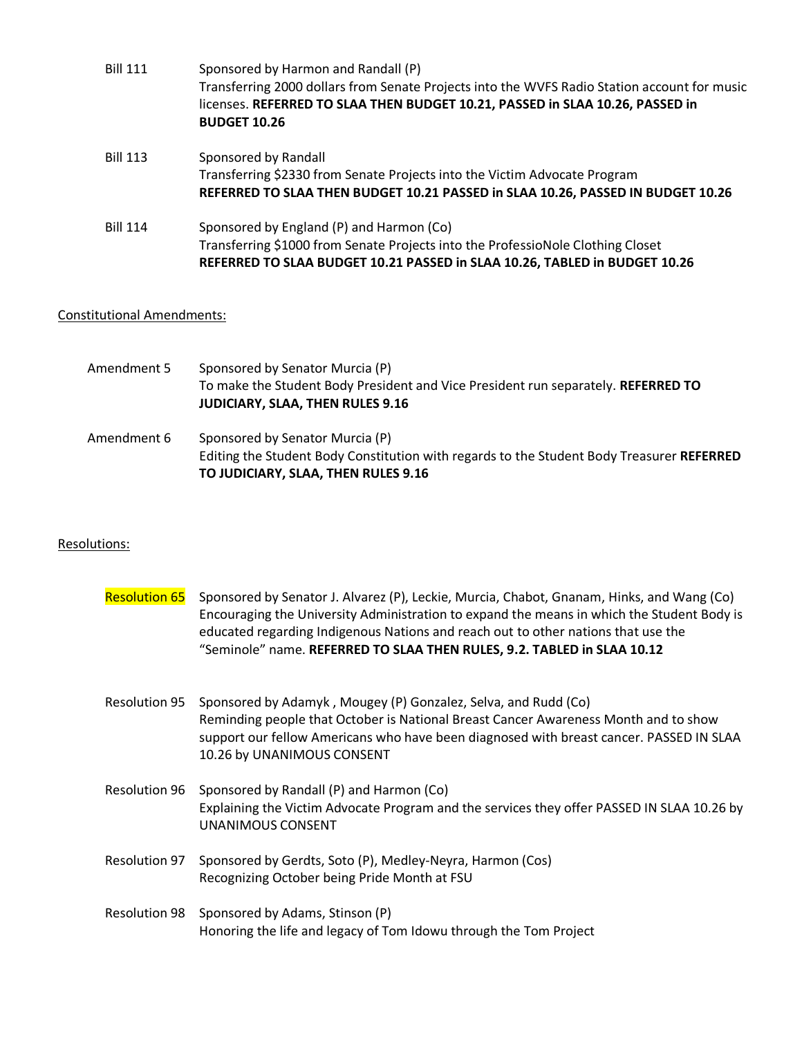| <b>Bill 111</b> | Sponsored by Harmon and Randall (P)<br>Transferring 2000 dollars from Senate Projects into the WVFS Radio Station account for music<br>licenses. REFERRED TO SLAA THEN BUDGET 10.21, PASSED in SLAA 10.26, PASSED in<br><b>BUDGET 10.26</b> |
|-----------------|---------------------------------------------------------------------------------------------------------------------------------------------------------------------------------------------------------------------------------------------|
| <b>Bill 113</b> | Sponsored by Randall<br>Transferring \$2330 from Senate Projects into the Victim Advocate Program<br>REFERRED TO SLAA THEN BUDGET 10.21 PASSED in SLAA 10.26, PASSED IN BUDGET 10.26                                                        |
| <b>Bill 114</b> | Sponsored by England (P) and Harmon (Co)<br>Transferring \$1000 from Senate Projects into the ProfessioNole Clothing Closet<br>REFERRED TO SLAA BUDGET 10.21 PASSED in SLAA 10.26, TABLED in BUDGET 10.26                                   |

## Constitutional Amendments:

| Amendment 5 | Sponsored by Senator Murcia (P)<br>To make the Student Body President and Vice President run separately. REFERRED TO<br><b>JUDICIARY, SLAA, THEN RULES 9.16</b>     |
|-------------|---------------------------------------------------------------------------------------------------------------------------------------------------------------------|
| Amendment 6 | Sponsored by Senator Murcia (P)<br>Editing the Student Body Constitution with regards to the Student Body Treasurer REFERRED<br>TO JUDICIARY, SLAA, THEN RULES 9.16 |

### Resolutions:

| <b>Resolution 65</b> | Sponsored by Senator J. Alvarez (P), Leckie, Murcia, Chabot, Gnanam, Hinks, and Wang (Co)<br>Encouraging the University Administration to expand the means in which the Student Body is<br>educated regarding Indigenous Nations and reach out to other nations that use the<br>"Seminole" name. REFERRED TO SLAA THEN RULES, 9.2. TABLED in SLAA 10.12 |
|----------------------|---------------------------------------------------------------------------------------------------------------------------------------------------------------------------------------------------------------------------------------------------------------------------------------------------------------------------------------------------------|
| <b>Resolution 95</b> | Sponsored by Adamyk, Mougey (P) Gonzalez, Selva, and Rudd (Co)<br>Reminding people that October is National Breast Cancer Awareness Month and to show<br>support our fellow Americans who have been diagnosed with breast cancer. PASSED IN SLAA<br>10.26 by UNANIMOUS CONSENT                                                                          |
| <b>Resolution 96</b> | Sponsored by Randall (P) and Harmon (Co)<br>Explaining the Victim Advocate Program and the services they offer PASSED IN SLAA 10.26 by<br>UNANIMOUS CONSENT                                                                                                                                                                                             |
| <b>Resolution 97</b> | Sponsored by Gerdts, Soto (P), Medley-Neyra, Harmon (Cos)<br>Recognizing October being Pride Month at FSU                                                                                                                                                                                                                                               |
| <b>Resolution 98</b> | Sponsored by Adams, Stinson (P)<br>Honoring the life and legacy of Tom Idowu through the Tom Project                                                                                                                                                                                                                                                    |